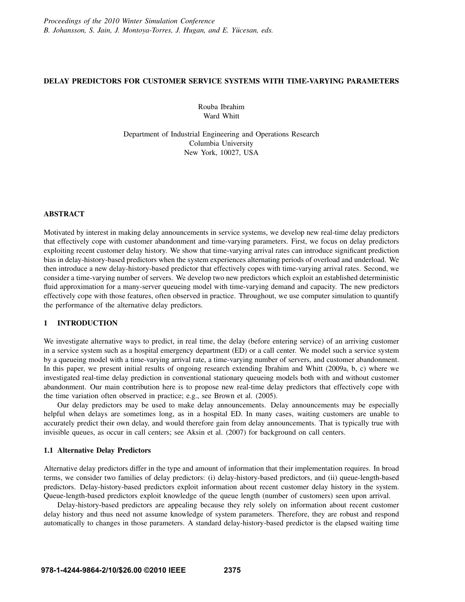# **DELAY PREDICTORS FOR CUSTOMER SERVICE SYSTEMS WITH TIME-VARYING PARAMETERS**

Rouba Ibrahim Ward Whitt

Department of Industrial Engineering and Operations Research Columbia University New York, 10027, USA

# **ABSTRACT**

Motivated by interest in making delay announcements in service systems, we develop new real-time delay predictors that effectively cope with customer abandonment and time-varying parameters. First, we focus on delay predictors exploiting recent customer delay history. We show that time-varying arrival rates can introduce significant prediction bias in delay-history-based predictors when the system experiences alternating periods of overload and underload. We then introduce a new delay-history-based predictor that effectively copes with time-varying arrival rates. Second, we consider a time-varying number of servers. We develop two new predictors which exploit an established deterministic fluid approximation for a many-server queueing model with time-varying demand and capacity. The new predictors effectively cope with those features, often observed in practice. Throughout, we use computer simulation to quantify the performance of the alternative delay predictors.

# **1 INTRODUCTION**

We investigate alternative ways to predict, in real time, the delay (before entering service) of an arriving customer in a service system such as a hospital emergency department (ED) or a call center. We model such a service system by a queueing model with a time-varying arrival rate, a time-varying number of servers, and customer abandonment. In this paper, we present initial results of ongoing research extending Ibrahim and Whitt (2009a, b, c) where we investigated real-time delay prediction in conventional stationary queueing models both with and without customer abandonment. Our main contribution here is to propose new real-time delay predictors that effectively cope with the time variation often observed in practice; e.g., see Brown et al. (2005).

Our delay predictors may be used to make delay announcements. Delay announcements may be especially helpful when delays are sometimes long, as in a hospital ED. In many cases, waiting customers are unable to accurately predict their own delay, and would therefore gain from delay announcements. That is typically true with invisible queues, as occur in call centers; see Aksin et al. (2007) for background on call centers.

# **1.1 Alternative Delay Predictors**

Alternative delay predictors differ in the type and amount of information that their implementation requires. In broad terms, we consider two families of delay predictors: (i) delay-history-based predictors, and (ii) queue-length-based predictors. Delay-history-based predictors exploit information about recent customer delay history in the system. Queue-length-based predictors exploit knowledge of the queue length (number of customers) seen upon arrival.

Delay-history-based predictors are appealing because they rely solely on information about recent customer delay history and thus need not assume knowledge of system parameters. Therefore, they are robust and respond automatically to changes in those parameters. A standard delay-history-based predictor is the elapsed waiting time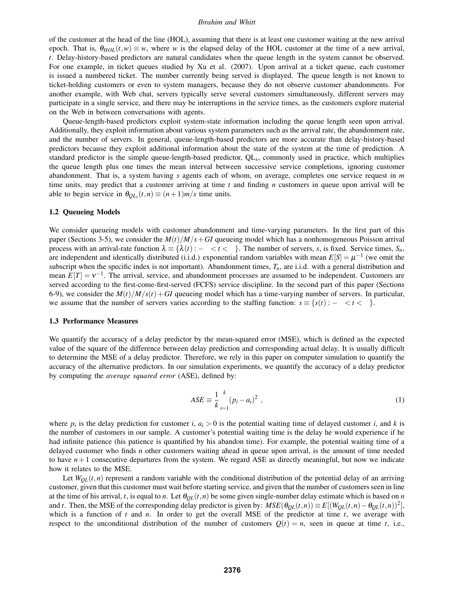of the customer at the head of the line (HOL), assuming that there is at least one customer waiting at the new arrival epoch. That is,  $\theta_{HOL}(t, w) \equiv w$ , where *w* is the elapsed delay of the HOL customer at the time of a new arrival, *t*. Delay-history-based predictors are natural candidates when the queue length in the system cannot be observed. For one example, in ticket queues studied by Xu et al. (2007). Upon arrival at a ticket queue, each customer is issued a numbered ticket. The number currently being served is displayed. The queue length is not known to ticket-holding customers or even to system managers, because they do not observe customer abandonments. For another example, with Web chat, servers typically serve several customers simultaneously, different servers may participate in a single service, and there may be interruptions in the service times, as the customers explore material on the Web in between conversations with agents.

Queue-length-based predictors exploit system-state information including the queue length seen upon arrival. Additionally, they exploit information about various system parameters such as the arrival rate, the abandonment rate, and the number of servers. In general, queue-length-based predictors are more accurate than delay-history-based predictors because they exploit additional information about the state of the system at the time of prediction. A standard predictor is the simple queue-length-based predictor, QL*s*, commonly used in practice, which multiplies the queue length plus one times the mean interval between successive service completions, ignoring customer abandonment. That is, a system having *s* agents each of whom, on average, completes one service request in *m* time units, may predict that a customer arriving at time *t* and finding *n* customers in queue upon arrival will be able to begin service in  $\theta_{QL_s}(t,n) \equiv (n+1)m/s$  time units.

## **1.2 Queueing Models**

We consider queueing models with customer abandonment and time-varying parameters. In the first part of this paper (Sections 3-5), we consider the  $M(t)/M/s + GI$  queueing model which has a nonhomogeneous Poisson arrival process with an arrival-rate function  $\lambda = \{\lambda(t) : -\infty < t < \infty\}$ . The number of servers, *s*, is fixed. Service times,  $S_n$ , are independent and identically distributed (i.i.d.) exponential random variables with mean  $E[S] = \mu^{-1}$  (we omit the subscript when the specific index is not important). Abandonment times,  $T_n$ , are i.i.d. with a general distribution and mean  $E[T] = v^{-1}$ . The arrival, service, and abandonment processes are assumed to be independent. Customers are served according to the first-come-first-served (FCFS) service discipline. In the second part of this paper (Sections 6-9), we consider the  $M(t)/M/s(t) + GI$  queueing model which has a time-varying number of servers. In particular, we assume that the number of servers varies according to the staffing function:  $s \equiv \{s(t) : -\infty < t < \infty\}$ .

## **1.3 Performance Measures**

We quantify the accuracy of a delay predictor by the mean-squared error (MSE), which is defined as the expected value of the square of the difference between delay prediction and corresponding actual delay. It is usually difficult to determine the MSE of a delay predictor. Therefore, we rely in this paper on computer simulation to quantify the accuracy of the alternative predictors. In our simulation experiments, we quantify the accuracy of a delay predictor by computing the *average squared error* (ASE), defined by:

$$
ASE \equiv \frac{1}{k} \sum_{i=1}^{k} (p_i - a_i)^2 \tag{1}
$$

where  $p_i$  is the delay prediction for customer *i*,  $a_i > 0$  is the potential waiting time of delayed customer *i*, and *k* is the number of customers in our sample. A customer's potential waiting time is the delay he would experience if he had infinite patience (his patience is quantified by his abandon time). For example, the potential waiting time of a delayed customer who finds *n* other customers waiting ahead in queue upon arrival, is the amount of time needed to have  $n+1$  consecutive departures from the system. We regard ASE as directly meaningful, but now we indicate how it relates to the MSE.

Let  $W_{OL}(t,n)$  represent a random variable with the conditional distribution of the potential delay of an arriving customer, given that this customer must wait before starting service, and given that the number of customers seen in line at the time of his arrival, *t*, is equal to *n*. Let  $\theta_{QL}(t, n)$  be some given single-number delay estimate which is based on *n* and *t*. Then, the MSE of the corresponding delay predictor is given by:  $MSE(\theta_{QL}(t,n)) \equiv E[(W_{QL}(t,n) - \theta_{QL}(t,n))^2]$ , which is a function of *t* and *n*. In order to get the overall MSE of the predictor at time *t*, we average with respect to the unconditional distribution of the number of customers  $Q(t) = n$ , seen in queue at time *t*, i.e.,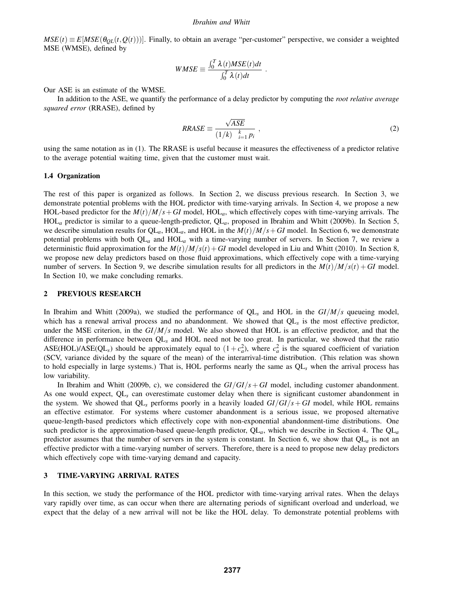$MSE(t) \equiv E[MSE(\theta_{OL}(t, Q(t)))]$ . Finally, to obtain an average "per-customer" perspective, we consider a weighted MSE (WMSE), defined by

$$
WMSE \equiv \frac{\int_0^T \lambda(t)MSE(t)dt}{\int_0^T \lambda(t)dt}.
$$

Our ASE is an estimate of the WMSE.

In addition to the ASE, we quantify the performance of a delay predictor by computing the *root relative average squared error* (RRASE), defined by

$$
RRASE \equiv \frac{\sqrt{ASE}}{(1/k)\sum_{i=1}^{k} p_i} \,,\tag{2}
$$

using the same notation as in (1). The RRASE is useful because it measures the effectiveness of a predictor relative to the average potential waiting time, given that the customer must wait.

### **1.4 Organization**

The rest of this paper is organized as follows. In Section 2, we discuss previous research. In Section 3, we demonstrate potential problems with the HOL predictor with time-varying arrivals. In Section 4, we propose a new HOL-based predictor for the  $M(t)/M/s + GI$  model,  $HOL_a$ , which effectively copes with time-varying arrivals. The HOL*<sup>a</sup>* predictor is similar to a queue-length-predictor, QL*a*, proposed in Ibrahim and Whitt (2009b). In Section 5, we describe simulation results for  $QL_a$ ,  $HOL_a$ , and  $HOL$  in the  $M(t)/M/s + GI$  model. In Section 6, we demonstrate potential problems with both QL*<sup>a</sup>* and HOL*<sup>a</sup>* with a time-varying number of servers. In Section 7, we review a deterministic fluid approximation for the  $M(t)/M/s(t) + GI$  model developed in Liu and Whitt (2010). In Section 8, we propose new delay predictors based on those fluid approximations, which effectively cope with a time-varying number of servers. In Section 9, we describe simulation results for all predictors in the  $M(t)/M/s(t) + GI$  model. In Section 10, we make concluding remarks.

## **2 PREVIOUS RESEARCH**

In Ibrahim and Whitt (2009a), we studied the performance of QL*<sup>s</sup>* and HOL in the *GI*/*M*/*s* queueing model, which has a renewal arrival process and no abandonment. We showed that QL*<sup>s</sup>* is the most effective predictor, under the MSE criterion, in the *GI*/*M*/*s* model. We also showed that HOL is an effective predictor, and that the difference in performance between QL*<sup>s</sup>* and HOL need not be too great. In particular, we showed that the ratio ASE(HOL)/ASE(QL<sub>s</sub>) should be approximately equal to  $(1+c_a^2)$ , where  $c_a^2$  is the squared coefficient of variation (SCV, variance divided by the square of the mean) of the interarrival-time distribution. (This relation was shown to hold especially in large systems.) That is, HOL performs nearly the same as QL*<sup>s</sup>* when the arrival process has low variability.

In Ibrahim and Whitt (2009b, c), we considered the *GI*/*GI*/*s*+*GI* model, including customer abandonment. As one would expect, QL*<sup>s</sup>* can overestimate customer delay when there is significant customer abandonment in the system. We showed that  $OL<sub>s</sub>$  performs poorly in a heavily loaded  $GI/GI/s + GI$  model, while HOL remains an effective estimator. For systems where customer abandonment is a serious issue, we proposed alternative queue-length-based predictors which effectively cope with non-exponential abandonment-time distributions. One such predictor is the approximation-based queue-length predictor, QL*a*, which we describe in Section 4. The QL*<sup>a</sup>* predictor assumes that the number of servers in the system is constant. In Section 6, we show that QL*<sup>a</sup>* is not an effective predictor with a time-varying number of servers. Therefore, there is a need to propose new delay predictors which effectively cope with time-varying demand and capacity.

# **3 TIME-VARYING ARRIVAL RATES**

In this section, we study the performance of the HOL predictor with time-varying arrival rates. When the delays vary rapidly over time, as can occur when there are alternating periods of significant overload and underload, we expect that the delay of a new arrival will not be like the HOL delay. To demonstrate potential problems with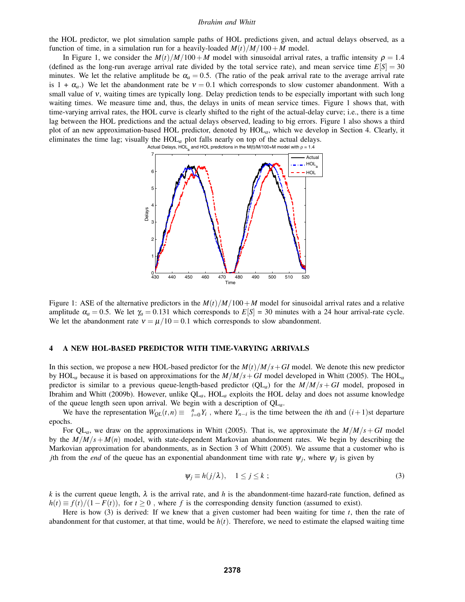the HOL predictor, we plot simulation sample paths of HOL predictions given, and actual delays observed, as a function of time, in a simulation run for a heavily-loaded  $M(t)/M/100+M$  model.

In Figure 1, we consider the  $M(t)/M/100+M$  model with sinusoidal arrival rates, a traffic intensity  $\rho = 1.4$ (defined as the long-run average arrival rate divided by the total service rate), and mean service time  $E[S] = 30$ minutes. We let the relative amplitude be  $\alpha_a = 0.5$ . (The ratio of the peak arrival rate to the average arrival rate is 1 +  $\alpha_a$ .) We let the abandonment rate be  $v = 0.1$  which corresponds to slow customer abandonment. With a small value of  $v$ , waiting times are typically long. Delay prediction tends to be especially important with such long waiting times. We measure time and, thus, the delays in units of mean service times. Figure 1 shows that, with time-varying arrival rates, the HOL curve is clearly shifted to the right of the actual-delay curve; i.e., there is a time lag between the HOL predictions and the actual delays observed, leading to big errors. Figure 1 also shows a third plot of an new approximation-based HOL predictor, denoted by HOL*a*, which we develop in Section 4. Clearly, it eliminates the time lag; visually the  $HOL<sub>a</sub>$  plot falls nearly on top of the actual delays.



Figure 1: ASE of the alternative predictors in the  $M(t)/M/100+M$  model for sinusoidal arrival rates and a relative amplitude  $\alpha_a = 0.5$ . We let  $\gamma_a = 0.131$  which corresponds to  $E[S] = 30$  minutes with a 24 hour arrival-rate cycle. We let the abandonment rate  $v = \mu/10 = 0.1$  which corresponds to slow abandonment.

# **4 A NEW HOL-BASED PREDICTOR WITH TIME-VARYING ARRIVALS**

In this section, we propose a new HOL-based predictor for the  $M(t)/M/s + GI$  model. We denote this new predictor by HOL<sub>a</sub> because it is based on approximations for the  $M/M/s + GI$  model developed in Whitt (2005). The HOL<sub>a</sub> predictor is similar to a previous queue-length-based predictor  $(QL_a)$  for the  $M/M/s + GI$  model, proposed in Ibrahim and Whitt (2009b). However, unlike QL*a*, HOL*<sup>a</sup>* exploits the HOL delay and does not assume knowledge of the queue length seen upon arrival. We begin with a description of QL*a*.

We have the representation  $W_{QL}(t, n) \equiv \sum_{i=0}^{n} Y_i$ , where  $Y_{n-i}$  is the time between the *i*th and  $(i+1)$ st departure epochs.

For  $QL_a$ , we draw on the approximations in Whitt (2005). That is, we approximate the  $M/M/s + GI$  model by the  $M/M/s + M(n)$  model, with state-dependent Markovian abandonment rates. We begin by describing the Markovian approximation for abandonments, as in Section 3 of Whitt (2005). We assume that a customer who is *j*th from the *end* of the queue has an exponential abandonment time with rate  $\psi_j$ , where  $\psi_j$  is given by

$$
\Psi_j \equiv h(j/\lambda), \quad 1 \le j \le k \tag{3}
$$

*k* is the current queue length,  $\lambda$  is the arrival rate, and *h* is the abandonment-time hazard-rate function, defined as  $h(t) \equiv f(t)/(1 - F(t))$ , for  $t > 0$ , where f is the corresponding density function (assumed to exist).

Here is how (3) is derived: If we knew that a given customer had been waiting for time *t*, then the rate of abandonment for that customer, at that time, would be  $h(t)$ . Therefore, we need to estimate the elapsed waiting time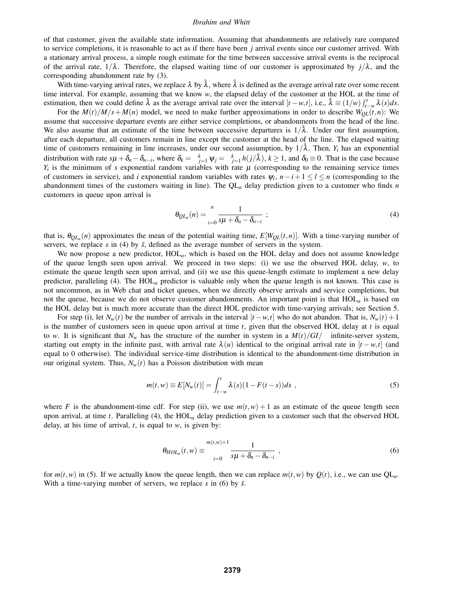of that customer, given the available state information. Assuming that abandonments are relatively rare compared to service completions, it is reasonable to act as if there have been *j* arrival events since our customer arrived. With a stationary arrival process, a simple rough estimate for the time between successive arrival events is the reciprocal of the arrival rate,  $1/\lambda$ . Therefore, the elapsed waiting time of our customer is approximated by  $j/\lambda$ , and the corresponding abandonment rate by (3).

With time-varying arrival rates, we replace  $\lambda$  by  $\hat{\lambda}$ , where  $\hat{\lambda}$  is defined as the average arrival rate over some recent time interval. For example, assuming that we know *w*, the elapsed delay of the customer at the HOL at the time of estimation, then we could define  $\hat{\lambda}$  as the average arrival rate over the interval  $[t - w, t]$ , i.e.,  $\hat{\lambda} \equiv (1/w) \int_{t-w}^{t} \lambda(s) ds$ .

For the  $M(t)/M/s + M(n)$  model, we need to make further approximations in order to describe  $W_{QL}(t,n)$ : We assume that successive departure events are either service completions, or abandonments from the head of the line. We also assume that an estimate of the time between successive departures is  $1/\hat{\lambda}$ . Under our first assumption, after each departure, all customers remain in line except the customer at the head of the line. The elapsed waiting time of customers remaining in line increases, under our second assumption, by  $1/\hat{\lambda}$ . Then,  $Y_i$  has an exponential distribution with rate  $s\mu + \delta_n - \delta_{n-i}$ , where  $\delta_k = \sum_{j=1}^k \psi_j = \sum_{j=1}^k h(j/\hat{\lambda})$ ,  $k \ge 1$ , and  $\delta_0 \equiv 0$ . That is the case because  $Y_i$  is the minimum of *s* exponential random variables with rate  $\mu$  (corresponding to the remaining service times of customers in service), and *i* exponential random variables with rates  $\psi_l$ ,  $n-i+1 \leq l \leq n$  (corresponding to the abandonment times of the customers waiting in line). The QL*<sup>a</sup>* delay prediction given to a customer who finds *n* customers in queue upon arrival is

$$
\theta_{QL_a}(n) = \sum_{i=0}^n \frac{1}{s\mu + \delta_n - \delta_{n-i}} \tag{4}
$$

that is,  $\theta_{OL}$  (*n*) approximates the mean of the potential waiting time,  $E[W_{OL}(t,n)]$ . With a time-varying number of servers, we replace  $s$  in (4) by  $\bar{s}$ , defined as the average number of servers in the system.

We now propose a new predictor,  $HOL<sub>a</sub>$ , which is based on the HOL delay and does not assume knowledge of the queue length seen upon arrival. We proceed in two steps: (i) we use the observed HOL delay, *w*, to estimate the queue length seen upon arrival, and (ii) we use this queue-length estimate to implement a new delay predictor, paralleling (4). The HOL*<sup>a</sup>* predictor is valuable only when the queue length is not known. This case is not uncommon, as in Web chat and ticket queues, when we directly observe arrivals and service completions, but not the queue, because we do not observe customer abandonments. An important point is that HOL*<sup>a</sup>* is based on the HOL delay but is much more accurate than the direct HOL predictor with time-varying arrivals; see Section 5.

For step (i), let  $N_w(t)$  be the number of arrivals in the interval  $[t - w, t]$  who do not abandon. That is,  $N_w(t) + 1$ is the number of customers seen in queue upon arrival at time *t*, given that the observed HOL delay at *t* is equal to *w*. It is significant that  $N_w$  has the structure of the number in system in a  $M(t)/GI/\infty$  infinite-server system, starting out empty in the infinite past, with arrival rate  $\lambda(u)$  identical to the original arrival rate in  $[t - w, t]$  (and equal to 0 otherwise). The individual service-time distribution is identical to the abandonment-time distribution in our original system. Thus,  $N_w(t)$  has a Poisson distribution with mean

$$
m(t, w) \equiv E[N_w(t)] = \int_{t-w}^{t} \lambda(s)(1 - F(t-s))ds , \qquad (5)
$$

where *F* is the abandonment-time cdf. For step (ii), we use  $m(t, w) + 1$  as an estimate of the queue length seen upon arrival, at time *t*. Paralleling (4), the HOL*<sup>a</sup>* delay prediction given to a customer such that the observed HOL delay, at his time of arrival, *t*, is equal to *w*, is given by:

$$
\theta_{HOL_a}(t, w) \equiv \sum_{i=0}^{m(t, w)+1} \frac{1}{s\mu + \delta_n - \delta_{n-i}} \tag{6}
$$

for  $m(t, w)$  in (5). If we actually know the queue length, then we can replace  $m(t, w)$  by  $Q(t)$ , i.e., we can use  $QL_a$ . With a time-varying number of servers, we replace  $s$  in (6) by  $\bar{s}$ .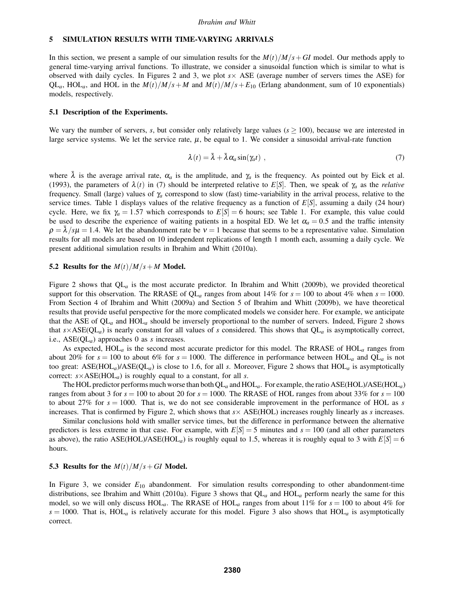## **5 SIMULATION RESULTS WITH TIME-VARYING ARRIVALS**

In this section, we present a sample of our simulation results for the  $M(t)/M/s + GI$  model. Our methods apply to general time-varying arrival functions. To illustrate, we consider a sinusoidal function which is similar to what is observed with daily cycles. In Figures 2 and 3, we plot *s*× ASE (average number of servers times the ASE) for  $QL_a$ , HOL<sub>a</sub>, and HOL in the  $M(t)/M/s + M$  and  $M(t)/M/s + E_{10}$  (Erlang abandonment, sum of 10 exponentials) models, respectively.

# **5.1 Description of the Experiments.**

We vary the number of servers,  $s$ , but consider only relatively large values  $(s \ge 100)$ , because we are interested in large service systems. We let the service rate,  $\mu$ , be equal to 1. We consider a sinusoidal arrival-rate function

$$
\lambda(t) = \bar{\lambda} + \bar{\lambda} \alpha_a \sin(\gamma_a t) , \qquad (7)
$$

where  $\bar{\lambda}$  is the average arrival rate,  $\alpha_a$  is the amplitude, and  $\gamma_a$  is the frequency. As pointed out by Eick et al. (1993), the parameters of  $\lambda(t)$  in (7) should be interpreted relative to *E*[*S*]. Then, we speak of  $\gamma_a$  as the *relative* frequency. Small (large) values of γ*<sup>a</sup>* correspond to slow (fast) time-variability in the arrival process, relative to the service times. Table 1 displays values of the relative frequency as a function of  $E[S]$ , assuming a daily (24 hour) cycle. Here, we fix  $\gamma_a = 1.57$  which corresponds to  $E[S] = 6$  hours; see Table 1. For example, this value could be used to describe the experience of waiting patients in a hospital ED. We let  $\alpha_a = 0.5$  and the traffic intensity  $\rho = \bar{\lambda}/s\mu = 1.4$ . We let the abandonment rate be  $v = 1$  because that seems to be a representative value. Simulation results for all models are based on 10 independent replications of length 1 month each, assuming a daily cycle. We present additional simulation results in Ibrahim and Whitt (2010a).

# **5.2 Results for the**  $M(t)/M/s + M$  **Model.**

Figure 2 shows that  $QL_a$  is the most accurate predictor. In Ibrahim and Whitt (2009b), we provided theoretical support for this observation. The RRASE of  $QL_a$  ranges from about 14% for  $s = 100$  to about 4% when  $s = 1000$ . From Section 4 of Ibrahim and Whitt (2009a) and Section 5 of Ibrahim and Whitt (2009b), we have theoretical results that provide useful perspective for the more complicated models we consider here. For example, we anticipate that the ASE of  $QL_a$  and  $HOL_a$  should be inversely proportional to the number of servers. Indeed, Figure 2 shows that  $s \times \text{ASE}(QL_a)$  is nearly constant for all values of *s* considered. This shows that  $QL_a$  is asymptotically correct, i.e., ASE(QL*a*) approaches 0 as *s* increases.

As expected,  $HOL<sub>a</sub>$  is the second most accurate predictor for this model. The RRASE of  $HOL<sub>a</sub>$  ranges from about 20% for  $s = 100$  to about 6% for  $s = 1000$ . The difference in performance between HOL<sub>a</sub> and QL<sub>a</sub> is not too great:  $\text{ASE(HOL}_a)/\text{ASE(QL}_a)$  is close to 1.6, for all *s*. Moreover, Figure 2 shows that  $\text{HOL}_a$  is asymptotically correct: *s*×ASE(HOL*a*) is roughly equal to a constant, for all *s*.

The HOL predictor performs much worse than both QL*<sup>a</sup>* and HOL*a*. For example, the ratio ASE(HOL)/ASE(HOL*a*) ranges from about 3 for  $s = 100$  to about 20 for  $s = 1000$ . The RRASE of HOL ranges from about 33% for  $s = 100$ to about 27% for *s* = 1000. That is, we do not see considerable improvement in the performance of HOL as *s* increases. That is confirmed by Figure 2, which shows that *s*× ASE(HOL) increases roughly linearly as *s* increases.

Similar conclusions hold with smaller service times, but the difference in performance between the alternative predictors is less extreme in that case. For example, with  $E[S] = 5$  minutes and  $s = 100$  (and all other parameters as above), the ratio ASE(HOL)/ASE(HOL<sub>a</sub>) is roughly equal to 1.5, whereas it is roughly equal to 3 with  $E[S] = 6$ hours.

#### **5.3 Results for the**  $M(t)/M/s + GI$  **Model.**

In Figure 3, we consider *E*<sup>10</sup> abandonment. For simulation results corresponding to other abandonment-time distributions, see Ibrahim and Whitt (2010a). Figure 3 shows that QL*<sup>a</sup>* and HOL*<sup>a</sup>* perform nearly the same for this model, so we will only discuss  $HOL_a$ . The RRASE of  $HOL_a$  ranges from about 11% for  $s = 100$  to about 4% for  $s = 1000$ . That is,  $HOL<sub>a</sub>$  is relatively accurate for this model. Figure 3 also shows that  $HOL<sub>a</sub>$  is asymptotically correct.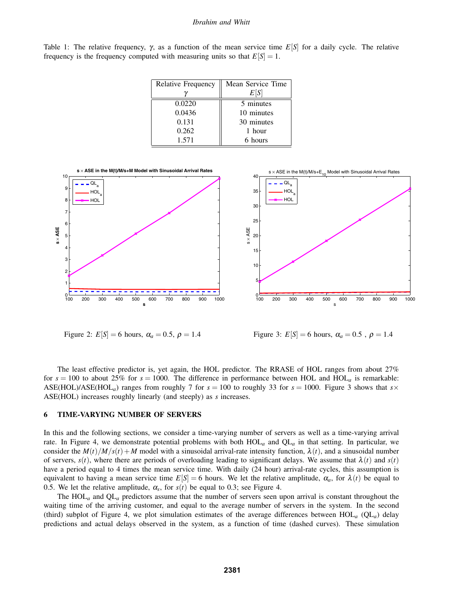Table 1: The relative frequency, γ, as a function of the mean service time *E*[*S*] for a daily cycle. The relative frequency is the frequency computed with measuring units so that  $E[S] = 1$ .

| <b>Relative Frequency</b> | Mean Service Time |  |  |
|---------------------------|-------------------|--|--|
|                           | E[S]              |  |  |
| 0.0220                    | 5 minutes         |  |  |
| 0.0436                    | 10 minutes        |  |  |
| 0.131                     | 30 minutes        |  |  |
| 0.262                     | 1 hour            |  |  |
| 1.571                     | 6 hours           |  |  |



Figure 2:  $E[S] = 6$  hours,  $\alpha_a = 0.5$ ,  $\rho = 1.4$ 

Figure 3:  $E[S] = 6$  hours,  $\alpha_a = 0.5$ ,  $\rho = 1.4$ 

The least effective predictor is, yet again, the HOL predictor. The RRASE of HOL ranges from about 27% for  $s = 100$  to about 25% for  $s = 1000$ . The difference in performance between HOL and HOL<sub>a</sub> is remarkable: ASE(HOL)/ASE(HOL<sub>a</sub>) ranges from roughly 7 for  $s = 100$  to roughly 33 for  $s = 1000$ . Figure 3 shows that  $s \times$ ASE(HOL) increases roughly linearly (and steeply) as *s* increases.

## **6 TIME-VARYING NUMBER OF SERVERS**

In this and the following sections, we consider a time-varying number of servers as well as a time-varying arrival rate. In Figure 4, we demonstrate potential problems with both  $HOL<sub>a</sub>$  and  $QL<sub>a</sub>$  in that setting. In particular, we consider the  $M(t)/M/s(t) + M$  model with a sinusoidal arrival-rate intensity function,  $\lambda(t)$ , and a sinusoidal number of servers,  $s(t)$ , where there are periods of overloading leading to significant delays. We assume that  $\lambda(t)$  and  $s(t)$ have a period equal to 4 times the mean service time. With daily (24 hour) arrival-rate cycles, this assumption is equivalent to having a mean service time  $E[S] = 6$  hours. We let the relative amplitude,  $\alpha_a$ , for  $\lambda(t)$  be equal to 0.5. We let the relative amplitude,  $\alpha_s$ , for  $s(t)$  be equal to 0.3; see Figure 4.

The HOL*<sup>a</sup>* and QL*<sup>a</sup>* predictors assume that the number of servers seen upon arrival is constant throughout the waiting time of the arriving customer, and equal to the average number of servers in the system. In the second (third) subplot of Figure 4, we plot simulation estimates of the average differences between  $HOL_a$  ( $QL_a$ ) delay predictions and actual delays observed in the system, as a function of time (dashed curves). These simulation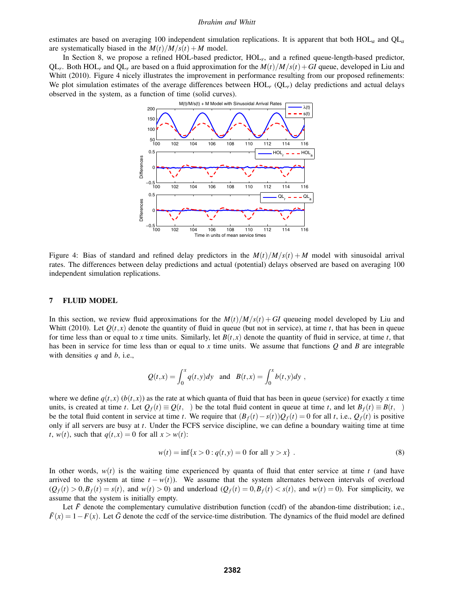estimates are based on averaging 100 independent simulation replications. It is apparent that both HOL*<sup>a</sup>* and QL*<sup>a</sup>* are systematically biased in the  $M(t)/M/s(t) + M$  model.

In Section 8, we propose a refined HOL-based predictor, HOL*r*, and a refined queue-length-based predictor,  $QL_r$ . Both HOL<sub>*r*</sub> and  $QL_r$  are based on a fluid approximation for the  $M(t)/M/s(t) + GI$  queue, developed in Liu and Whitt (2010). Figure 4 nicely illustrates the improvement in performance resulting from our proposed refinements: We plot simulation estimates of the average differences between  $HOL_r$  ( $QL_r$ ) delay predictions and actual delays observed in the system, as a function of time (solid curves).



Figure 4: Bias of standard and refined delay predictors in the  $M(t)/M/s(t) + M$  model with sinusoidal arrival rates. The differences between delay predictions and actual (potential) delays observed are based on averaging 100 independent simulation replications.

## **7 FLUID MODEL**

In this section, we review fluid approximations for the  $M(t)/M/s(t) + GI$  queueing model developed by Liu and Whitt (2010). Let  $Q(t, x)$  denote the quantity of fluid in queue (but not in service), at time  $t$ , that has been in queue for time less than or equal to *x* time units. Similarly, let  $B(t, x)$  denote the quantity of fluid in service, at time *t*, that has been in service for time less than or equal to *x* time units. We assume that functions *Q* and *B* are integrable with densities *q* and *b*, i.e.,

$$
Q(t,x) = \int_0^x q(t,y) dy \text{ and } B(t,x) = \int_0^x b(t,y) dy ,
$$

where we define  $q(t,x)$  ( $b(t,x)$ ) as the rate at which quanta of fluid that has been in queue (service) for exactly *x* time units, is created at time *t*. Let  $Q_f(t) \equiv Q(t, \infty)$  be the total fluid content in queue at time *t*, and let  $B_f(t) \equiv B(t, \infty)$ be the total fluid content in service at time *t*. We require that  $(B_f(t) - s(t))Q_f(t) = 0$  for all *t*, i.e.,  $Q_f(t)$  is positive only if all servers are busy at *t*. Under the FCFS service discipline, we can define a boundary waiting time at time *t*,  $w(t)$ , such that  $q(t,x) = 0$  for all  $x > w(t)$ :

$$
w(t) = \inf\{x > 0 : q(t, y) = 0 \text{ for all } y > x\}.
$$
 (8)

In other words,  $w(t)$  is the waiting time experienced by quanta of fluid that enter service at time  $t$  (and have arrived to the system at time  $t - w(t)$ ). We assume that the system alternates between intervals of overload  $(Q_f(t) > 0, B_f(t) = s(t)$ , and  $w(t) > 0$ ) and underload  $(Q_f(t) = 0, B_f(t) < s(t)$ , and  $w(t) = 0$ ). For simplicity, we assume that the system is initially empty.

Let  $\bar{F}$  denote the complementary cumulative distribution function (ccdf) of the abandon-time distribution; i.e.,  $\bar{F}(x) = 1 - F(x)$ . Let  $\bar{G}$  denote the ccdf of the service-time distribution. The dynamics of the fluid model are defined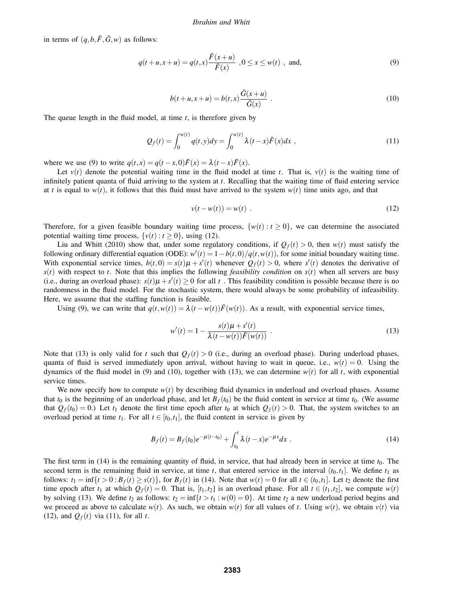in terms of  $(q, b, \bar{F}, \bar{G}, w)$  as follows:

$$
q(t+u,x+u) = q(t,x)\frac{\bar{F}(x+u)}{\bar{F}(x)}, 0 \le x \le w(t)
$$
, and, (9)

$$
b(t+u, x+u) = b(t,x) \frac{\bar{G}(x+u)}{\bar{G}(x)} .
$$
 (10)

The queue length in the fluid model, at time *t*, is therefore given by

$$
Q_f(t) = \int_0^{w(t)} q(t, y) dy = \int_0^{w(t)} \lambda(t - x) \bar{F}(x) dx , \qquad (11)
$$

where we use (9) to write  $q(t,x) = q(t-x,0) \bar{F}(x) = \lambda(t-x) \bar{F}(x)$ .

Let  $v(t)$  denote the potential waiting time in the fluid model at time *t*. That is,  $v(t)$  is the waiting time of infinitely patient quanta of fluid arriving to the system at *t*. Recalling that the waiting time of fluid entering service at *t* is equal to  $w(t)$ , it follows that this fluid must have arrived to the system  $w(t)$  time units ago, and that

$$
v(t - w(t)) = w(t) \tag{12}
$$

Therefore, for a given feasible boundary waiting time process,  $\{w(t): t \geq 0\}$ , we can determine the associated potential waiting time process,  $\{v(t): t \ge 0\}$ , using (12).

Liu and Whitt (2010) show that, under some regulatory conditions, if  $Q_f(t) > 0$ , then  $w(t)$  must satisfy the following ordinary differential equation (ODE):  $w'(t) = 1 - b(t,0)/q(t, w(t))$ , for some initial boundary waiting time. With exponential service times,  $b(t,0) = s(t)\mu + s'(t)$  whenever  $Q_f(t) > 0$ , where  $s'(t)$  denotes the derivative of  $s(t)$  with respect to *t*. Note that this implies the following *feasibility condition* on  $s(t)$  when all servers are busy (i.e., during an overload phase):  $s(t)\mu + s'(t) \ge 0$  for all *t*. This feasibility condition is possible because there is no randomness in the fluid model. For the stochastic system, there would always be some probability of infeasibility. Here, we assume that the staffing function is feasible.

Using (9), we can write that  $q(t, w(t)) = \lambda (t - w(t)) \overline{F}(w(t))$ . As a result, with exponential service times,

$$
w'(t) = 1 - \frac{s(t)\mu + s'(t)}{\lambda(t - w(t))\bar{F}(w(t))}.
$$
\n(13)

Note that (13) is only valid for *t* such that  $Q_f(t) > 0$  (i.e., during an overload phase). During underload phases, quanta of fluid is served immediately upon arrival, without having to wait in queue, i.e.,  $w(t) = 0$ . Using the dynamics of the fluid model in (9) and (10), together with (13), we can determine  $w(t)$  for all *t*, with exponential service times.

We now specify how to compute  $w(t)$  by describing fluid dynamics in underload and overload phases. Assume that  $t_0$  is the beginning of an underload phase, and let  $B_f(t_0)$  be the fluid content in service at time  $t_0$ . (We assume that  $Q_f(t_0) = 0$ .) Let  $t_1$  denote the first time epoch after  $t_0$  at which  $Q_f(t) > 0$ . That, the system switches to an overload period at time  $t_1$ . For all  $t \in [t_0, t_1]$ , the fluid content in service is given by

$$
B_f(t) = B_f(t_0)e^{-\mu(t-t_0)} + \int_{t_0}^t \lambda(t-x)e^{-\mu x}dx
$$
 (14)

The first term in  $(14)$  is the remaining quantity of fluid, in service, that had already been in service at time  $t_0$ . The second term is the remaining fluid in service, at time *t*, that entered service in the interval  $(t_0, t_1]$ . We define  $t_1$  as follows:  $t_1 = \inf\{t > 0 : B_f(t) \ge s(t)\}$ , for  $B_f(t)$  in (14). Note that  $w(t) = 0$  for all  $t \in (t_0, t_1]$ . Let  $t_2$  denote the first time epoch after  $t_1$  at which  $Q_f(t) = 0$ . That is,  $[t_1, t_2]$  is an overload phase. For all  $t \in (t_1, t_2]$ , we compute  $w(t)$ by solving (13). We define  $t_2$  as follows:  $t_2 = \inf\{t > t_1 : w(0) = 0\}$ . At time  $t_2$  a new underload period begins and we proceed as above to calculate  $w(t)$ . As such, we obtain  $w(t)$  for all values of *t*. Using  $w(t)$ , we obtain  $v(t)$  via (12), and  $Q_f(t)$  via (11), for all *t*.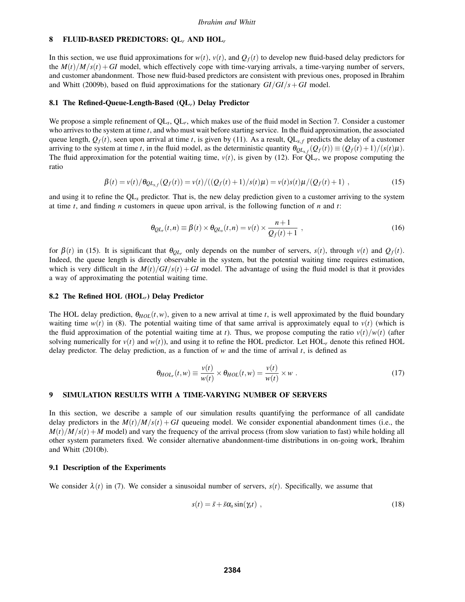## **8 FLUID-BASED PREDICTORS: QL***<sup>r</sup>* **AND HOL***<sup>r</sup>*

In this section, we use fluid approximations for  $w(t)$ ,  $v(t)$ , and  $Q_f(t)$  to develop new fluid-based delay predictors for the  $M(t)/M/s(t) + GI$  model, which effectively cope with time-varying arrivals, a time-varying number of servers, and customer abandonment. Those new fluid-based predictors are consistent with previous ones, proposed in Ibrahim and Whitt (2009b), based on fluid approximations for the stationary  $GI/GI/s + GI$  model.

#### **8.1 The Refined-Queue-Length-Based (QL***r***) Delay Predictor**

We propose a simple refinement of QL*s*, QL*r*, which makes use of the fluid model in Section 7. Consider a customer who arrives to the system at time *t*, and who must wait before starting service. In the fluid approximation, the associated queue length,  $Q_f(t)$ , seen upon arrival at time *t*, is given by (11). As a result,  $QL_{s,f}$  predicts the delay of a customer arriving to the system at time *t*, in the fluid model, as the deterministic quantity  $\theta_{QL_{s,f}}(Q_f(t)) \equiv (Q_f(t) + 1)/(s(t)\mu)$ . The fluid approximation for the potential waiting time,  $v(t)$ , is given by (12). For  $QL_r$ , we propose computing the ratio

$$
\beta(t) = v(t)/\theta_{QL_{s,f}}(Q_f(t)) = v(t)/((Q_f(t) + 1)/s(t)\mu) = v(t)s(t)\mu/(Q_f(t) + 1) ,
$$
\n(15)

and using it to refine the QL*<sup>s</sup>* predictor. That is, the new delay prediction given to a customer arriving to the system at time *t*, and finding *n* customers in queue upon arrival, is the following function of *n* and *t*:

$$
\theta_{QL_r}(t,n) \equiv \beta(t) \times \theta_{QL_s}(t,n) = v(t) \times \frac{n+1}{Q_f(t)+1} \tag{16}
$$

for β(*t*) in (15). It is significant that θ*QLr* only depends on the number of servers, *s*(*t*), through *v*(*t*) and *Qf*(*t*). Indeed, the queue length is directly observable in the system, but the potential waiting time requires estimation, which is very difficult in the  $M(t)/GI/s(t) + GI$  model. The advantage of using the fluid model is that it provides a way of approximating the potential waiting time.

## **8.2 The Refined HOL (HOL***r***) Delay Predictor**

The HOL delay prediction,  $\theta_{HOL}(t, w)$ , given to a new arrival at time *t*, is well approximated by the fluid boundary waiting time  $w(t)$  in (8). The potential waiting time of that same arrival is approximately equal to  $v(t)$  (which is the fluid approximation of the potential waiting time at *t*). Thus, we propose computing the ratio  $v(t)/w(t)$  (after solving numerically for  $v(t)$  and  $w(t)$ ), and using it to refine the HOL predictor. Let HOL<sub>*r*</sub> denote this refined HOL delay predictor. The delay prediction, as a function of *w* and the time of arrival *t*, is defined as

$$
\theta_{HOL_r}(t,w) \equiv \frac{v(t)}{w(t)} \times \theta_{HOL}(t,w) = \frac{v(t)}{w(t)} \times w \ . \tag{17}
$$

# **9 SIMULATION RESULTS WITH A TIME-VARYING NUMBER OF SERVERS**

In this section, we describe a sample of our simulation results quantifying the performance of all candidate delay predictors in the  $M(t)/M/s(t) + GI$  queueing model. We consider exponential abandonment times (i.e., the  $M(t)/M/s(t) + M$  model) and vary the frequency of the arrival process (from slow variation to fast) while holding all other system parameters fixed. We consider alternative abandonment-time distributions in on-going work, Ibrahim and Whitt (2010b).

# **9.1 Description of the Experiments**

We consider  $\lambda(t)$  in (7). We consider a sinusoidal number of servers,  $s(t)$ . Specifically, we assume that

$$
s(t) = \bar{s} + \bar{s}\alpha_s \sin(\gamma_s t) \tag{18}
$$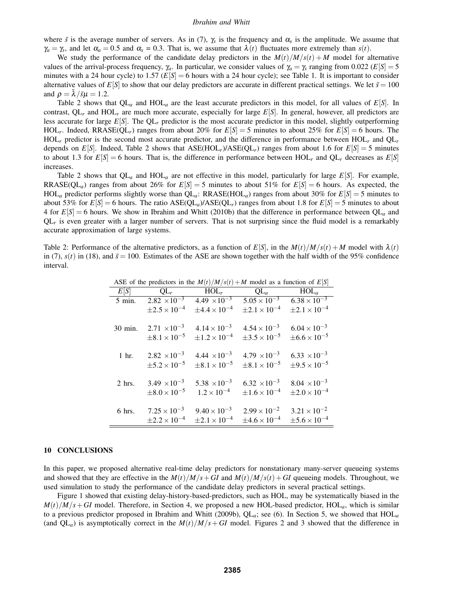where  $\bar{s}$  is the average number of servers. As in (7),  $\gamma_s$  is the frequency and  $\alpha_s$  is the amplitude. We assume that  $\gamma_a = \gamma_s$ , and let  $\alpha_a = 0.5$  and  $\alpha_s = 0.3$ . That is, we assume that  $\lambda(t)$  fluctuates more extremely than  $s(t)$ .

We study the performance of the candidate delay predictors in the  $M(t)/M/s(t) + M$  model for alternative values of the arrival-process frequency,  $\gamma_a$ . In particular, we consider values of  $\gamma_a = \gamma_s$  ranging from 0.022 (*E*[*S*] = 5 minutes with a 24 hour cycle) to 1.57  $(E[S] = 6$  hours with a 24 hour cycle); see Table 1. It is important to consider alternative values of  $E[S]$  to show that our delay predictors are accurate in different practical settings. We let  $\bar{s} = 100$ and  $\rho = \bar{\lambda}/\bar{s}\mu = 1.2$ .

Table 2 shows that QL*<sup>a</sup>* and HOL*<sup>a</sup>* are the least accurate predictors in this model, for all values of *E*[*S*]. In contrast, QL*<sup>r</sup>* and HOL*<sup>r</sup>* are much more accurate, especially for large *E*[*S*]. In general, however, all predictors are less accurate for large  $E[S]$ . The  $QL_r$  predictor is the most accurate predictor in this model, slightly outperforming HOL<sub>*r*</sub>. Indeed, RRASE(QL<sub>*r*</sub>) ranges from about 20% for  $E[S] = 5$  minutes to about 25% for  $E[S] = 6$  hours. The HOL*<sup>r</sup>* predictor is the second most accurate predictor, and the difference in performance between HOL*<sup>r</sup>* and QL*<sup>r</sup>* depends on  $E[S]$ . Indeed, Table 2 shows that  $\text{ASE(HOL}_r)/\text{ASE(QL}_r)$  ranges from about 1.6 for  $E[S] = 5$  minutes to about 1.3 for  $E[S] = 6$  hours. That is, the difference in performance between HOL<sub>*r*</sub> and QL<sub>*r*</sub> decreases as  $E[S]$ increases.

Table 2 shows that QL*<sup>a</sup>* and HOL*<sup>a</sup>* are not effective in this model, particularly for large *E*[*S*]. For example, RRASE( $QL_a$ ) ranges from about 26% for  $E[S] = 5$  minutes to about 51% for  $E[S] = 6$  hours. As expected, the HOL<sub>a</sub> predictor performs slightly worse than  $QL_a$ : RRASE(HOL<sub>a</sub>) ranges from about 30% for  $E[S] = 5$  minutes to about 53% for  $E[S] = 6$  hours. The ratio  $\text{ASE}(QL_a)/\text{ASE}(QL_r)$  ranges from about 1.8 for  $E[S] = 5$  minutes to about 4 for  $E[S] = 6$  hours. We show in Ibrahim and Whitt (2010b) that the difference in performance between  $QL_a$  and QL*<sup>r</sup>* is even greater with a larger number of servers. That is not surprising since the fluid model is a remarkably accurate approximation of large systems.

Table 2: Performance of the alternative predictors, as a function of  $E[S]$ , in the  $M(t)/M/s(t) + M$  model with  $\lambda(t)$ in (7),  $s(t)$  in (18), and  $\bar{s} = 100$ . Estimates of the ASE are shown together with the half width of the 95% confidence interval.

| E[S]     | $QL_r$                   | $HOL_r$                          | $QL_a$                   | $HOL_a$                         |
|----------|--------------------------|----------------------------------|--------------------------|---------------------------------|
| $5$ min. | $2.82 \times 10^{-3}$    | $4.\overline{49 \times 10^{-3}}$ | $5.05 \times 10^{-3}$    | $\frac{6.38 \times 10^{-3}}{2}$ |
|          | $\pm 2.5 \times 10^{-4}$ | $\pm 4.4 \times 10^{-4}$         | $\pm 2.1 \times 10^{-4}$ | $\pm 2.1 \times 10^{-4}$        |
| 30 min.  | $2.71 \times 10^{-3}$    | $4.14 \times 10^{-3}$            | $4.54 \times 10^{-3}$    | $6.04 \times 10^{-3}$           |
|          | $\pm 8.1 \times 10^{-5}$ | $\pm 1.2 \times 10^{-4}$         | $\pm 3.5 \times 10^{-5}$ | $\pm 6.6 \times 10^{-5}$        |
| $1$ hr.  | $2.82 \times 10^{-3}$    | $4.44 \times 10^{-3}$            | $4.79 \times 10^{-3}$    | $6.33 \times 10^{-3}$           |
|          | $\pm 5.2 \times 10^{-5}$ | $\pm 8.1 \times 10^{-5}$         | $\pm 8.1 \times 10^{-5}$ | $\pm 9.5 \times 10^{-5}$        |
| $2$ hrs. | $3.49 \times 10^{-3}$    | $5.38 \times 10^{-3}$            | $6.32 \times 10^{-3}$    | $8.04 \times 10^{-3}$           |
|          | $\pm 8.0 \times 10^{-5}$ | $1.2 \times 10^{-4}$             | $\pm 1.6 \times 10^{-4}$ | $\pm 2.0 \times 10^{-4}$        |
| $6$ hrs. | $7.25 \times 10^{-3}$    | $9.40 \times 10^{-3}$            | $2.99 \times 10^{-2}$    | $3.21 \times 10^{-2}$           |
|          | $\pm 2.2 \times 10^{-4}$ | $\pm 2.1 \times 10^{-4}$         | $\pm 4.6 \times 10^{-4}$ | $\pm 5.6 \times 10^{-4}$        |

ASE of the predictors in the  $M(t)/M/s(t) + M$  model as a function of  $E[S]$ 

## **10 CONCLUSIONS**

In this paper, we proposed alternative real-time delay predictors for nonstationary many-server queueing systems and showed that they are effective in the  $M(t)/M/s + G I$  and  $M(t)/M/s(t) + G I$  queueing models. Throughout, we used simulation to study the performance of the candidate delay predictors in several practical settings.

Figure 1 showed that existing delay-history-based-predictors, such as HOL, may be systematically biased in the  $M(t)/M/s + GI$  model. Therefore, in Section 4, we proposed a new HOL-based predictor,  $HOL<sub>a</sub>$ , which is similar to a previous predictor proposed in Ibrahim and Whitt (2009b), QL*a*; see (6). In Section 5, we showed that HOL*<sup>a</sup>* (and  $QL_a$ ) is asymptotically correct in the  $M(t)/M/s + GI$  model. Figures 2 and 3 showed that the difference in